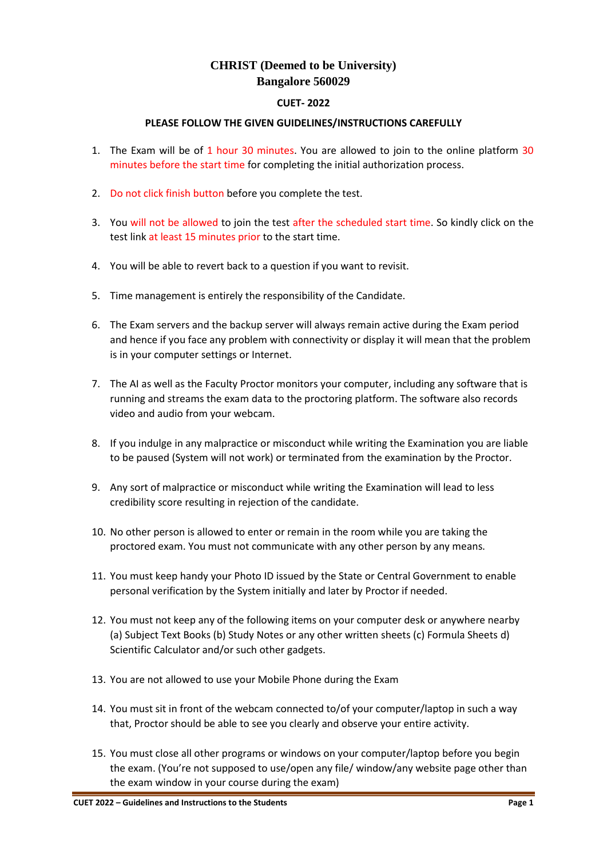## **CHRIST (Deemed to be University) Bangalore 560029**

## **CUET- 2022**

## **PLEASE FOLLOW THE GIVEN GUIDELINES/INSTRUCTIONS CAREFULLY**

- 1. The Exam will be of 1 hour 30 minutes. You are allowed to join to the online platform 30 minutes before the start time for completing the initial authorization process.
- 2. Do not click finish button before you complete the test.
- 3. You will not be allowed to join the test after the scheduled start time. So kindly click on the test link at least 15 minutes prior to the start time.
- 4. You will be able to revert back to a question if you want to revisit.
- 5. Time management is entirely the responsibility of the Candidate.
- 6. The Exam servers and the backup server will always remain active during the Exam period and hence if you face any problem with connectivity or display it will mean that the problem is in your computer settings or Internet.
- 7. The AI as well as the Faculty Proctor monitors your computer, including any software that is running and streams the exam data to the proctoring platform. The software also records video and audio from your webcam.
- 8. If you indulge in any malpractice or misconduct while writing the Examination you are liable to be paused (System will not work) or terminated from the examination by the Proctor.
- 9. Any sort of malpractice or misconduct while writing the Examination will lead to less credibility score resulting in rejection of the candidate.
- 10. No other person is allowed to enter or remain in the room while you are taking the proctored exam. You must not communicate with any other person by any means.
- 11. You must keep handy your Photo ID issued by the State or Central Government to enable personal verification by the System initially and later by Proctor if needed.
- 12. You must not keep any of the following items on your computer desk or anywhere nearby (a) Subject Text Books (b) Study Notes or any other written sheets (c) Formula Sheets d) Scientific Calculator and/or such other gadgets.
- 13. You are not allowed to use your Mobile Phone during the Exam
- 14. You must sit in front of the webcam connected to/of your computer/laptop in such a way that, Proctor should be able to see you clearly and observe your entire activity.
- 15. You must close all other programs or windows on your computer/laptop before you begin the exam. (You're not supposed to use/open any file/ window/any website page other than the exam window in your course during the exam)